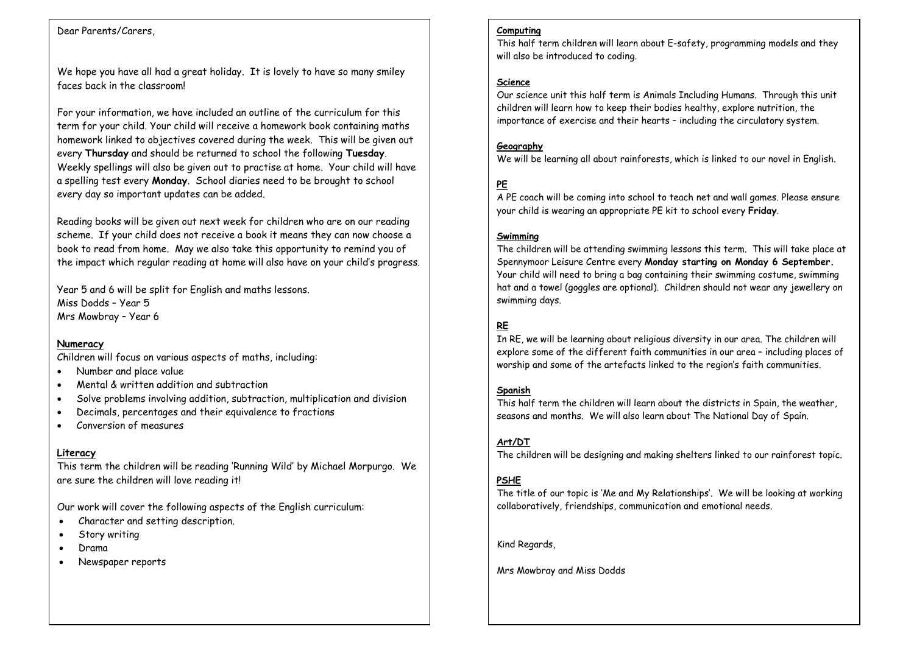## Dear Parents/Carers,

We hope you have all had a great holiday. It is lovely to have so many smiley faces back in the classroom!

And For your information, we have included an outline of the curriculum for this term for your child. Your child will receive a homework book containing maths homework linked to objectives covered during the week. This will be given out every **Thursday** and should be returned to school the following **Tuesday**. Weekly spellings will also be given out to practise at home. Your child will have a spelling test every **Monday**. School diaries need to be brought to school every day so important updates can be added.

Reading books will be given out next week for children who are on our reading scheme. If your child does not receive a book it means they can now choose a book to read from home. May we also take this opportunity to remind you of the impact which regular reading at home will also have on your child's progress.

Year 5 and 6 will be split for English and maths lessons. Miss Dodds – Year 5 Mrs Mowbray – Year 6

## **Numeracy**

Children will focus on various aspects of maths, including:

- Number and place value
- Mental & written addition and subtraction
- Solve problems involving addition, subtraction, multiplication and division
- Decimals, percentages and their equivalence to fractions
- Conversion of measures

## **Literacy**

This term the children will be reading 'Running Wild' by Michael Morpurgo. We are sure the children will love reading it!

Our work will cover the following aspects of the English curriculum:

- Character and setting description.
- Story writing
- Drama
- Newspaper reports

#### **Computing**

This half term children will learn about E-safety, programming models and they will also be introduced to coding.

### **Science**

Our science unit this half term is Animals Including Humans. Through this unit children will learn how to keep their bodies healthy, explore nutrition, the importance of exercise and their hearts – including the circulatory system.

## **Geography**

We will be learning all about rainforests, which is linked to our novel in English.

# **PE**

A PE coach will be coming into school to teach net and wall games. Please ensure your child is wearing an appropriate PE kit to school every **Friday**.

### **Swimming**

The children will be attending swimming lessons this term. This will take place at Spennymoor Leisure Centre every **Monday starting on Monday 6 September.**  Your child will need to bring a bag containing their swimming costume, swimming hat and a towel (goggles are optional). Children should not wear any jewellery on swimming days.

# **RE**

In RE, we will be learning about religious diversity in our area. The children will explore some of the different faith communities in our area – including places of worship and some of the artefacts linked to the region's faith communities.

#### **Spanish**

This half term the children will learn about the districts in Spain, the weather, seasons and months. We will also learn about The National Day of Spain.

## **Art/DT**

The children will be designing and making shelters linked to our rainforest topic.

## **PSHE**

The title of our topic is 'Me and My Relationships'. We will be looking at working collaboratively, friendships, communication and emotional needs.

Kind Regards,

Mrs Mowbray and Miss Dodds